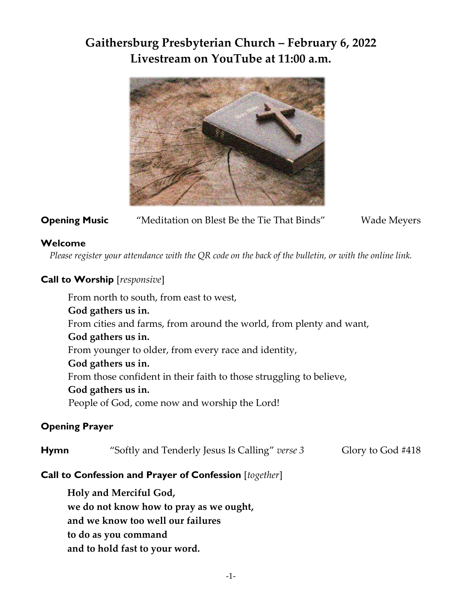# **Gaithersburg Presbyterian Church – February 6, 2022 Livestream on YouTube at 11:00 a.m.**



## **Opening Music** "Meditation on Blest Be the Tie That Binds" Wade Meyers

#### **Welcome**

*Please register your attendance with the QR code on the back of the bulletin, or with the online link.*

## **Call to Worship** [*responsive*]

From north to south, from east to west, **God gathers us in.** From cities and farms, from around the world, from plenty and want, **God gathers us in.** From younger to older, from every race and identity, **God gathers us in.** From those confident in their faith to those struggling to believe, **God gathers us in.** People of God, come now and worship the Lord!

### **Opening Prayer**

| <b>Hymn</b> | "Softly and Tenderly Jesus Is Calling" verse 3 | Glory to God #418 |
|-------------|------------------------------------------------|-------------------|
|-------------|------------------------------------------------|-------------------|

### **Call to Confession and Prayer of Confession** [*together*]

**Holy and Merciful God, we do not know how to pray as we ought, and we know too well our failures to do as you command and to hold fast to your word.**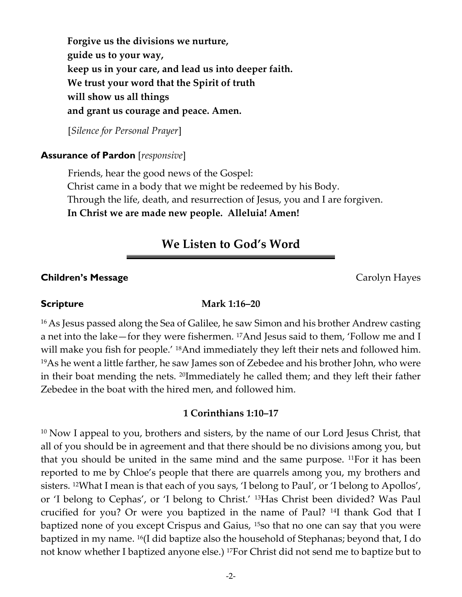**Forgive us the divisions we nurture, guide us to your way, keep us in your care, and lead us into deeper faith. We trust your word that the Spirit of truth will show us all things and grant us courage and peace. Amen.**

[*Silence for Personal Prayer*]

#### **Assurance of Pardon** [*responsive*]

Friends, hear the good news of the Gospel: Christ came in a body that we might be redeemed by his Body. Through the life, death, and resurrection of Jesus, you and I are forgiven. **In Christ we are made new people. Alleluia! Amen!** 

## **We Listen to God's Word**

#### **Children's Message Carolyn Hayes Carolyn Hayes**

#### **Scripture Mark 1:16–20**

<sup>16</sup> As Jesus passed along the Sea of Galilee, he saw Simon and his brother Andrew casting a net into the lake—for they were fishermen. 17And Jesus said to them, 'Follow me and I will make you fish for people.' <sup>18</sup>And immediately they left their nets and followed him. <sup>19</sup>As he went a little farther, he saw James son of Zebedee and his brother John, who were in their boat mending the nets. 20Immediately he called them; and they left their father Zebedee in the boat with the hired men, and followed him.

#### **1 Corinthians 1:10–17**

<sup>10</sup> Now I appeal to you, brothers and sisters, by the name of our Lord Jesus Christ, that all of you should be in agreement and that there should be no divisions among you, but that you should be united in the same mind and the same purpose. 11For it has been reported to me by Chloe's people that there are quarrels among you, my brothers and sisters. 12What I mean is that each of you says, 'I belong to Paul', or 'I belong to Apollos', or 'I belong to Cephas', or 'I belong to Christ.' 13Has Christ been divided? Was Paul crucified for you? Or were you baptized in the name of Paul? 14I thank God that I baptized none of you except Crispus and Gaius, 15so that no one can say that you were baptized in my name. 16(I did baptize also the household of Stephanas; beyond that, I do not know whether I baptized anyone else.) 17For Christ did not send me to baptize but to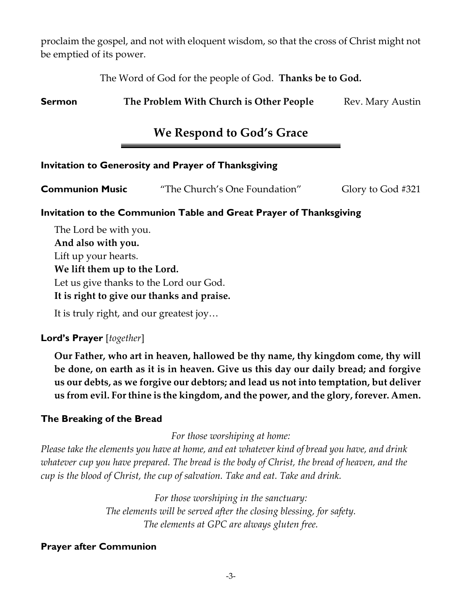proclaim the gospel, and not with eloquent wisdom, so that the cross of Christ might not be emptied of its power.

The Word of God for the people of God. **Thanks be to God.**

**Sermon The Problem With Church is Other People** Rev. Mary Austin

# **We Respond to God's Grace**

### **Invitation to Generosity and Prayer of Thanksgiving**

| Glory to God #321 |
|-------------------|
|                   |

#### **Invitation to the Communion Table and Great Prayer of Thanksgiving**

The Lord be with you. **And also with you.** Lift up your hearts. **We lift them up to the Lord.** Let us give thanks to the Lord our God. **It is right to give our thanks and praise.**

It is truly right, and our greatest joy…

#### **Lord's Prayer** [*together*]

**Our Father, who art in heaven, hallowed be thy name, thy kingdom come, thy will be done, on earth as it is in heaven. Give us this day our daily bread; and forgive us our debts, as we forgive our debtors; and lead us not into temptation, but deliver us from evil. For thine is the kingdom, and the power, and the glory, forever. Amen.**

#### **The Breaking of the Bread**

*For those worshiping at home:*

*Please take the elements you have at home, and eat whatever kind of bread you have, and drink whatever cup you have prepared. The bread is the body of Christ, the bread of heaven, and the cup is the blood of Christ, the cup of salvation. Take and eat. Take and drink.*

> *For those worshiping in the sanctuary: The elements will be served after the closing blessing, for safety. The elements at GPC are always gluten free.*

#### **Prayer after Communion**